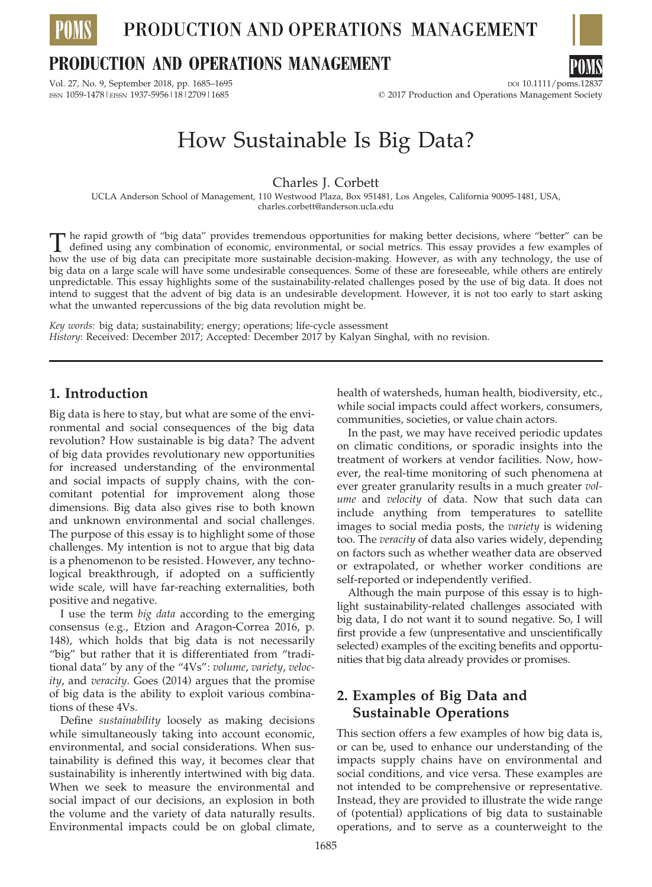

PRODUCTION AND OPERATIONS MANAGEMENT

## **PRODUCTION AND OPERATIONS MANAGEMENT**



# How Sustainable Is Big Data?

Charles J. Corbett

UCLA Anderson School of Management, 110 Westwood Plaza, Box 951481, Los Angeles, California 90095-1481, USA, charles.corbett@anderson.ucla.edu

The rapid growth of "big data" provides tremendous opportunities for making better decisions, where "better" can be<br>defined using any combination of economic, environmental, or social metrics. This essay provides a few exa how the use of big data can precipitate more sustainable decision-making. However, as with any technology, the use of big data on a large scale will have some undesirable consequences. Some of these are foreseeable, while others are entirely unpredictable. This essay highlights some of the sustainability-related challenges posed by the use of big data. It does not intend to suggest that the advent of big data is an undesirable development. However, it is not too early to start asking what the unwanted repercussions of the big data revolution might be.

Key words: big data; sustainability; energy; operations; life-cycle assessment History: Received: December 2017; Accepted: December 2017 by Kalyan Singhal, with no revision.

### 1. Introduction

Big data is here to stay, but what are some of the environmental and social consequences of the big data revolution? How sustainable is big data? The advent of big data provides revolutionary new opportunities for increased understanding of the environmental and social impacts of supply chains, with the concomitant potential for improvement along those dimensions. Big data also gives rise to both known and unknown environmental and social challenges. The purpose of this essay is to highlight some of those challenges. My intention is not to argue that big data is a phenomenon to be resisted. However, any technological breakthrough, if adopted on a sufficiently wide scale, will have far-reaching externalities, both positive and negative.

I use the term big data according to the emerging consensus (e.g., Etzion and Aragon-Correa 2016, p. 148), which holds that big data is not necessarily "big" but rather that it is differentiated from "traditional data" by any of the "4Vs": volume, variety, velocity, and veracity. Goes (2014) argues that the promise of big data is the ability to exploit various combinations of these 4Vs.

Define sustainability loosely as making decisions while simultaneously taking into account economic, environmental, and social considerations. When sustainability is defined this way, it becomes clear that sustainability is inherently intertwined with big data. When we seek to measure the environmental and social impact of our decisions, an explosion in both the volume and the variety of data naturally results. Environmental impacts could be on global climate,

health of watersheds, human health, biodiversity, etc., while social impacts could affect workers, consumers, communities, societies, or value chain actors.

In the past, we may have received periodic updates on climatic conditions, or sporadic insights into the treatment of workers at vendor facilities. Now, however, the real-time monitoring of such phenomena at ever greater granularity results in a much greater *vol*ume and velocity of data. Now that such data can include anything from temperatures to satellite images to social media posts, the variety is widening too. The veracity of data also varies widely, depending on factors such as whether weather data are observed or extrapolated, or whether worker conditions are self-reported or independently verified.

Although the main purpose of this essay is to highlight sustainability-related challenges associated with big data, I do not want it to sound negative. So, I will first provide a few (unpresentative and unscientifically selected) examples of the exciting benefits and opportunities that big data already provides or promises.

## 2. Examples of Big Data and Sustainable Operations

This section offers a few examples of how big data is, or can be, used to enhance our understanding of the impacts supply chains have on environmental and social conditions, and vice versa. These examples are not intended to be comprehensive or representative. Instead, they are provided to illustrate the wide range of (potential) applications of big data to sustainable operations, and to serve as a counterweight to the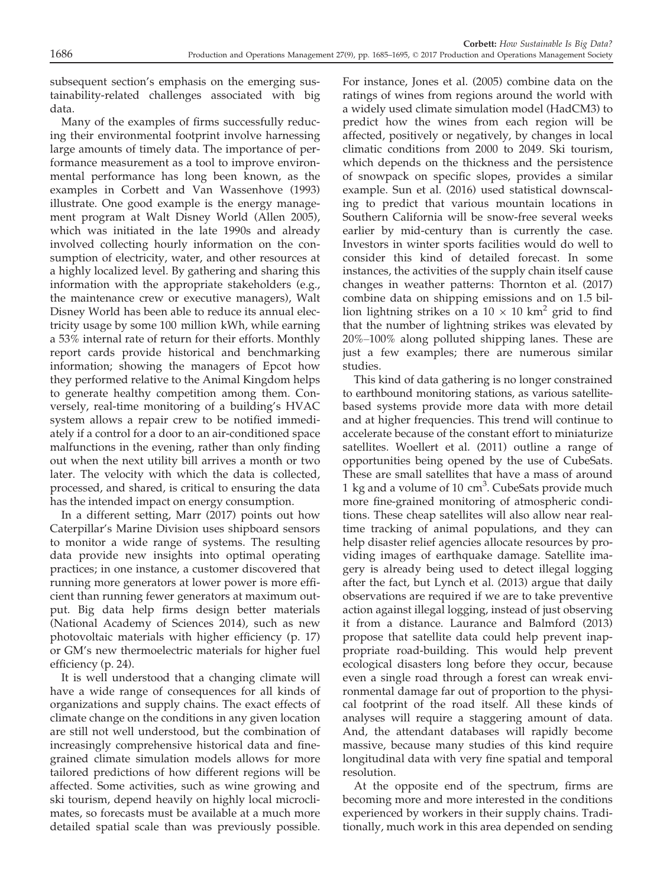subsequent section's emphasis on the emerging sustainability-related challenges associated with big data.

Many of the examples of firms successfully reducing their environmental footprint involve harnessing large amounts of timely data. The importance of performance measurement as a tool to improve environmental performance has long been known, as the examples in Corbett and Van Wassenhove (1993) illustrate. One good example is the energy management program at Walt Disney World (Allen 2005), which was initiated in the late 1990s and already involved collecting hourly information on the consumption of electricity, water, and other resources at a highly localized level. By gathering and sharing this information with the appropriate stakeholders (e.g., the maintenance crew or executive managers), Walt Disney World has been able to reduce its annual electricity usage by some 100 million kWh, while earning a 53% internal rate of return for their efforts. Monthly report cards provide historical and benchmarking information; showing the managers of Epcot how they performed relative to the Animal Kingdom helps to generate healthy competition among them. Conversely, real-time monitoring of a building's HVAC system allows a repair crew to be notified immediately if a control for a door to an air-conditioned space malfunctions in the evening, rather than only finding out when the next utility bill arrives a month or two later. The velocity with which the data is collected, processed, and shared, is critical to ensuring the data has the intended impact on energy consumption.

In a different setting, Marr (2017) points out how Caterpillar's Marine Division uses shipboard sensors to monitor a wide range of systems. The resulting data provide new insights into optimal operating practices; in one instance, a customer discovered that running more generators at lower power is more efficient than running fewer generators at maximum output. Big data help firms design better materials (National Academy of Sciences 2014), such as new photovoltaic materials with higher efficiency (p. 17) or GM's new thermoelectric materials for higher fuel efficiency (p. 24).

It is well understood that a changing climate will have a wide range of consequences for all kinds of organizations and supply chains. The exact effects of climate change on the conditions in any given location are still not well understood, but the combination of increasingly comprehensive historical data and finegrained climate simulation models allows for more tailored predictions of how different regions will be affected. Some activities, such as wine growing and ski tourism, depend heavily on highly local microclimates, so forecasts must be available at a much more detailed spatial scale than was previously possible.

For instance, Jones et al. (2005) combine data on the ratings of wines from regions around the world with a widely used climate simulation model (HadCM3) to predict how the wines from each region will be affected, positively or negatively, by changes in local climatic conditions from 2000 to 2049. Ski tourism, which depends on the thickness and the persistence of snowpack on specific slopes, provides a similar example. Sun et al. (2016) used statistical downscaling to predict that various mountain locations in Southern California will be snow-free several weeks earlier by mid-century than is currently the case. Investors in winter sports facilities would do well to consider this kind of detailed forecast. In some instances, the activities of the supply chain itself cause changes in weather patterns: Thornton et al. (2017) combine data on shipping emissions and on 1.5 billion lightning strikes on a  $10 \times 10$  km<sup>2</sup> grid to find that the number of lightning strikes was elevated by 20%–100% along polluted shipping lanes. These are just a few examples; there are numerous similar studies.

This kind of data gathering is no longer constrained to earthbound monitoring stations, as various satellitebased systems provide more data with more detail and at higher frequencies. This trend will continue to accelerate because of the constant effort to miniaturize satellites. Woellert et al. (2011) outline a range of opportunities being opened by the use of CubeSats. These are small satellites that have a mass of around 1 kg and a volume of 10 cm<sup>3</sup>. CubeSats provide much more fine-grained monitoring of atmospheric conditions. These cheap satellites will also allow near realtime tracking of animal populations, and they can help disaster relief agencies allocate resources by providing images of earthquake damage. Satellite imagery is already being used to detect illegal logging after the fact, but Lynch et al. (2013) argue that daily observations are required if we are to take preventive action against illegal logging, instead of just observing it from a distance. Laurance and Balmford (2013) propose that satellite data could help prevent inappropriate road-building. This would help prevent ecological disasters long before they occur, because even a single road through a forest can wreak environmental damage far out of proportion to the physical footprint of the road itself. All these kinds of analyses will require a staggering amount of data. And, the attendant databases will rapidly become massive, because many studies of this kind require longitudinal data with very fine spatial and temporal resolution.

At the opposite end of the spectrum, firms are becoming more and more interested in the conditions experienced by workers in their supply chains. Traditionally, much work in this area depended on sending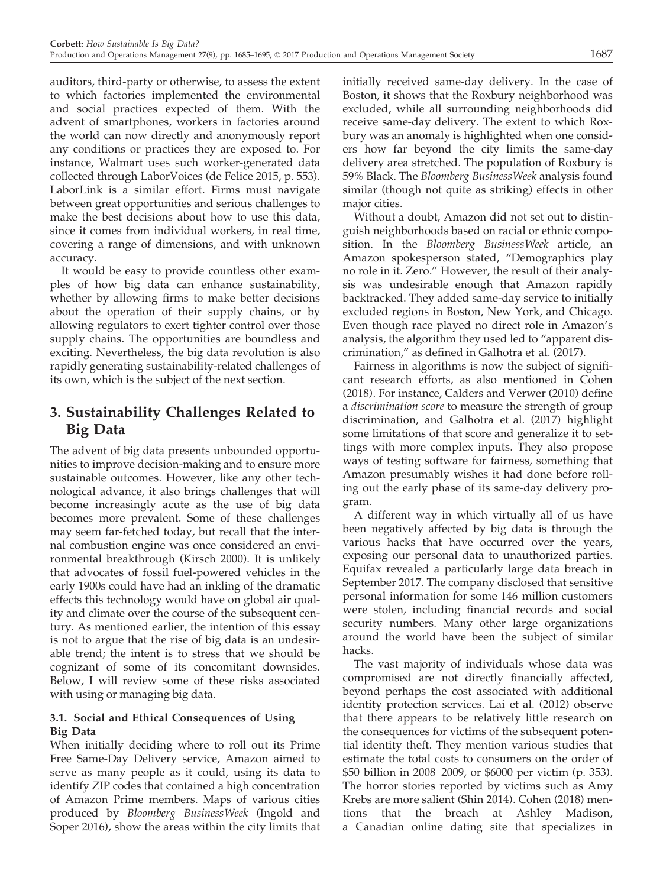auditors, third-party or otherwise, to assess the extent to which factories implemented the environmental and social practices expected of them. With the advent of smartphones, workers in factories around the world can now directly and anonymously report any conditions or practices they are exposed to. For instance, Walmart uses such worker-generated data collected through LaborVoices (de Felice 2015, p. 553). LaborLink is a similar effort. Firms must navigate between great opportunities and serious challenges to make the best decisions about how to use this data, since it comes from individual workers, in real time, covering a range of dimensions, and with unknown accuracy.

It would be easy to provide countless other examples of how big data can enhance sustainability, whether by allowing firms to make better decisions about the operation of their supply chains, or by allowing regulators to exert tighter control over those supply chains. The opportunities are boundless and exciting. Nevertheless, the big data revolution is also rapidly generating sustainability-related challenges of its own, which is the subject of the next section.

## 3. Sustainability Challenges Related to Big Data

The advent of big data presents unbounded opportunities to improve decision-making and to ensure more sustainable outcomes. However, like any other technological advance, it also brings challenges that will become increasingly acute as the use of big data becomes more prevalent. Some of these challenges may seem far-fetched today, but recall that the internal combustion engine was once considered an environmental breakthrough (Kirsch 2000). It is unlikely that advocates of fossil fuel-powered vehicles in the early 1900s could have had an inkling of the dramatic effects this technology would have on global air quality and climate over the course of the subsequent century. As mentioned earlier, the intention of this essay is not to argue that the rise of big data is an undesirable trend; the intent is to stress that we should be cognizant of some of its concomitant downsides. Below, I will review some of these risks associated with using or managing big data.

#### 3.1. Social and Ethical Consequences of Using Big Data

When initially deciding where to roll out its Prime Free Same-Day Delivery service, Amazon aimed to serve as many people as it could, using its data to identify ZIP codes that contained a high concentration of Amazon Prime members. Maps of various cities produced by Bloomberg BusinessWeek (Ingold and Soper 2016), show the areas within the city limits that

initially received same-day delivery. In the case of Boston, it shows that the Roxbury neighborhood was excluded, while all surrounding neighborhoods did receive same-day delivery. The extent to which Roxbury was an anomaly is highlighted when one considers how far beyond the city limits the same-day delivery area stretched. The population of Roxbury is 59% Black. The Bloomberg BusinessWeek analysis found similar (though not quite as striking) effects in other major cities.

Without a doubt, Amazon did not set out to distinguish neighborhoods based on racial or ethnic composition. In the Bloomberg BusinessWeek article, an Amazon spokesperson stated, "Demographics play no role in it. Zero." However, the result of their analysis was undesirable enough that Amazon rapidly backtracked. They added same-day service to initially excluded regions in Boston, New York, and Chicago. Even though race played no direct role in Amazon's analysis, the algorithm they used led to "apparent discrimination," as defined in Galhotra et al. (2017).

Fairness in algorithms is now the subject of significant research efforts, as also mentioned in Cohen (2018). For instance, Calders and Verwer (2010) define a discrimination score to measure the strength of group discrimination, and Galhotra et al. (2017) highlight some limitations of that score and generalize it to settings with more complex inputs. They also propose ways of testing software for fairness, something that Amazon presumably wishes it had done before rolling out the early phase of its same-day delivery program.

A different way in which virtually all of us have been negatively affected by big data is through the various hacks that have occurred over the years, exposing our personal data to unauthorized parties. Equifax revealed a particularly large data breach in September 2017. The company disclosed that sensitive personal information for some 146 million customers were stolen, including financial records and social security numbers. Many other large organizations around the world have been the subject of similar hacks.

The vast majority of individuals whose data was compromised are not directly financially affected, beyond perhaps the cost associated with additional identity protection services. Lai et al. (2012) observe that there appears to be relatively little research on the consequences for victims of the subsequent potential identity theft. They mention various studies that estimate the total costs to consumers on the order of \$50 billion in 2008–2009, or \$6000 per victim (p. 353). The horror stories reported by victims such as Amy Krebs are more salient (Shin 2014). Cohen (2018) mentions that the breach at Ashley Madison, a Canadian online dating site that specializes in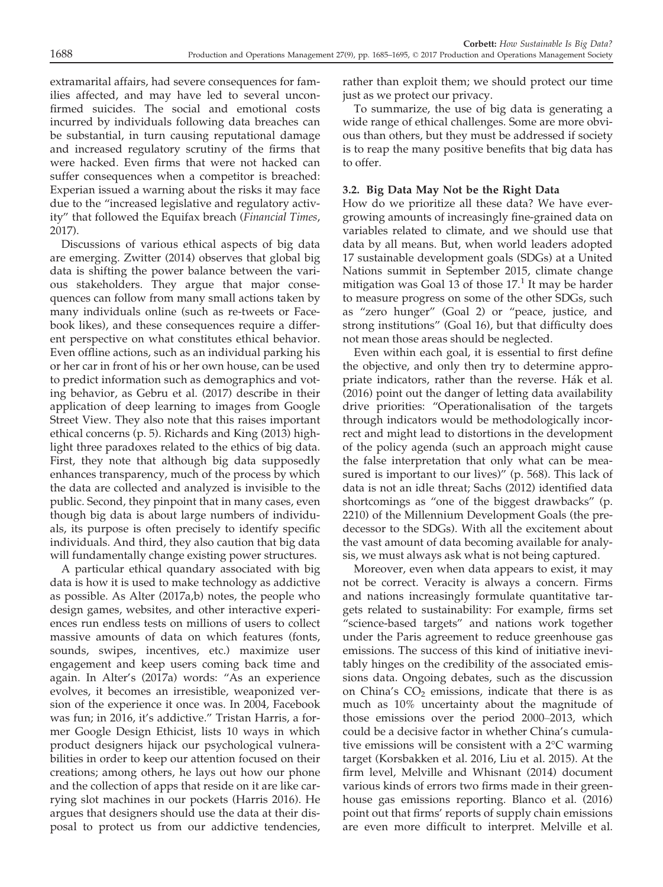extramarital affairs, had severe consequences for families affected, and may have led to several unconfirmed suicides. The social and emotional costs incurred by individuals following data breaches can be substantial, in turn causing reputational damage and increased regulatory scrutiny of the firms that were hacked. Even firms that were not hacked can suffer consequences when a competitor is breached: Experian issued a warning about the risks it may face due to the "increased legislative and regulatory activity" that followed the Equifax breach (Financial Times, 2017).

Discussions of various ethical aspects of big data are emerging. Zwitter (2014) observes that global big data is shifting the power balance between the various stakeholders. They argue that major consequences can follow from many small actions taken by many individuals online (such as re-tweets or Facebook likes), and these consequences require a different perspective on what constitutes ethical behavior. Even offline actions, such as an individual parking his or her car in front of his or her own house, can be used to predict information such as demographics and voting behavior, as Gebru et al. (2017) describe in their application of deep learning to images from Google Street View. They also note that this raises important ethical concerns (p. 5). Richards and King (2013) highlight three paradoxes related to the ethics of big data. First, they note that although big data supposedly enhances transparency, much of the process by which the data are collected and analyzed is invisible to the public. Second, they pinpoint that in many cases, even though big data is about large numbers of individuals, its purpose is often precisely to identify specific individuals. And third, they also caution that big data will fundamentally change existing power structures.

A particular ethical quandary associated with big data is how it is used to make technology as addictive as possible. As Alter (2017a,b) notes, the people who design games, websites, and other interactive experiences run endless tests on millions of users to collect massive amounts of data on which features (fonts, sounds, swipes, incentives, etc.) maximize user engagement and keep users coming back time and again. In Alter's (2017a) words: "As an experience evolves, it becomes an irresistible, weaponized version of the experience it once was. In 2004, Facebook was fun; in 2016, it's addictive." Tristan Harris, a former Google Design Ethicist, lists 10 ways in which product designers hijack our psychological vulnerabilities in order to keep our attention focused on their creations; among others, he lays out how our phone and the collection of apps that reside on it are like carrying slot machines in our pockets (Harris 2016). He argues that designers should use the data at their disposal to protect us from our addictive tendencies,

rather than exploit them; we should protect our time just as we protect our privacy.

To summarize, the use of big data is generating a wide range of ethical challenges. Some are more obvious than others, but they must be addressed if society is to reap the many positive benefits that big data has to offer.

#### 3.2. Big Data May Not be the Right Data

How do we prioritize all these data? We have evergrowing amounts of increasingly fine-grained data on variables related to climate, and we should use that data by all means. But, when world leaders adopted 17 sustainable development goals (SDGs) at a United Nations summit in September 2015, climate change mitigation was Goal 13 of those  $17<sup>1</sup>$  It may be harder to measure progress on some of the other SDGs, such as "zero hunger" (Goal 2) or "peace, justice, and strong institutions" (Goal 16), but that difficulty does not mean those areas should be neglected.

Even within each goal, it is essential to first define the objective, and only then try to determine appropriate indicators, rather than the reverse. Hak et al. (2016) point out the danger of letting data availability drive priorities: "Operationalisation of the targets through indicators would be methodologically incorrect and might lead to distortions in the development of the policy agenda (such an approach might cause the false interpretation that only what can be measured is important to our lives)" (p. 568). This lack of data is not an idle threat; Sachs (2012) identified data shortcomings as "one of the biggest drawbacks" (p. 2210) of the Millennium Development Goals (the predecessor to the SDGs). With all the excitement about the vast amount of data becoming available for analysis, we must always ask what is not being captured.

Moreover, even when data appears to exist, it may not be correct. Veracity is always a concern. Firms and nations increasingly formulate quantitative targets related to sustainability: For example, firms set "science-based targets" and nations work together under the Paris agreement to reduce greenhouse gas emissions. The success of this kind of initiative inevitably hinges on the credibility of the associated emissions data. Ongoing debates, such as the discussion on China's  $CO<sub>2</sub>$  emissions, indicate that there is as much as 10% uncertainty about the magnitude of those emissions over the period 2000–2013, which could be a decisive factor in whether China's cumulative emissions will be consistent with a 2°C warming target (Korsbakken et al. 2016, Liu et al. 2015). At the firm level, Melville and Whisnant (2014) document various kinds of errors two firms made in their greenhouse gas emissions reporting. Blanco et al. (2016) point out that firms' reports of supply chain emissions are even more difficult to interpret. Melville et al.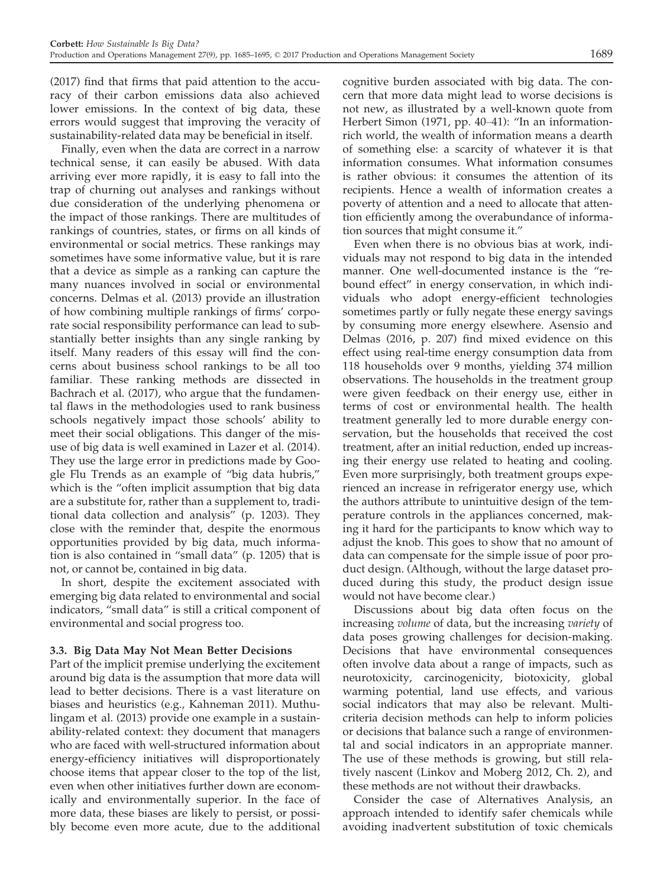(2017) find that firms that paid attention to the accuracy of their carbon emissions data also achieved lower emissions. In the context of big data, these errors would suggest that improving the veracity of sustainability-related data may be beneficial in itself.

Finally, even when the data are correct in a narrow technical sense, it can easily be abused. With data arriving ever more rapidly, it is easy to fall into the trap of churning out analyses and rankings without due consideration of the underlying phenomena or the impact of those rankings. There are multitudes of rankings of countries, states, or firms on all kinds of environmental or social metrics. These rankings may sometimes have some informative value, but it is rare that a device as simple as a ranking can capture the many nuances involved in social or environmental concerns. Delmas et al. (2013) provide an illustration of how combining multiple rankings of firms' corporate social responsibility performance can lead to substantially better insights than any single ranking by itself. Many readers of this essay will find the concerns about business school rankings to be all too familiar. These ranking methods are dissected in Bachrach et al. (2017), who argue that the fundamental flaws in the methodologies used to rank business schools negatively impact those schools' ability to meet their social obligations. This danger of the misuse of big data is well examined in Lazer et al. (2014). They use the large error in predictions made by Google Flu Trends as an example of "big data hubris," which is the "often implicit assumption that big data are a substitute for, rather than a supplement to, traditional data collection and analysis" (p. 1203). They close with the reminder that, despite the enormous opportunities provided by big data, much information is also contained in "small data" (p. 1205) that is not, or cannot be, contained in big data.

In short, despite the excitement associated with emerging big data related to environmental and social indicators, "small data" is still a critical component of environmental and social progress too.

#### 3.3. Big Data May Not Mean Better Decisions

Part of the implicit premise underlying the excitement around big data is the assumption that more data will lead to better decisions. There is a vast literature on biases and heuristics (e.g., Kahneman 2011). Muthulingam et al. (2013) provide one example in a sustainability-related context: they document that managers who are faced with well-structured information about energy-efficiency initiatives will disproportionately choose items that appear closer to the top of the list, even when other initiatives further down are economically and environmentally superior. In the face of more data, these biases are likely to persist, or possibly become even more acute, due to the additional

cognitive burden associated with big data. The concern that more data might lead to worse decisions is not new, as illustrated by a well-known quote from Herbert Simon (1971, pp. 40–41): "In an informationrich world, the wealth of information means a dearth of something else: a scarcity of whatever it is that information consumes. What information consumes is rather obvious: it consumes the attention of its recipients. Hence a wealth of information creates a poverty of attention and a need to allocate that attention efficiently among the overabundance of information sources that might consume it."

Even when there is no obvious bias at work, individuals may not respond to big data in the intended manner. One well-documented instance is the "rebound effect" in energy conservation, in which individuals who adopt energy-efficient technologies sometimes partly or fully negate these energy savings by consuming more energy elsewhere. Asensio and Delmas (2016, p. 207) find mixed evidence on this effect using real-time energy consumption data from 118 households over 9 months, yielding 374 million observations. The households in the treatment group were given feedback on their energy use, either in terms of cost or environmental health. The health treatment generally led to more durable energy conservation, but the households that received the cost treatment, after an initial reduction, ended up increasing their energy use related to heating and cooling. Even more surprisingly, both treatment groups experienced an increase in refrigerator energy use, which the authors attribute to unintuitive design of the temperature controls in the appliances concerned, making it hard for the participants to know which way to adjust the knob. This goes to show that no amount of data can compensate for the simple issue of poor product design. (Although, without the large dataset produced during this study, the product design issue would not have become clear.)

Discussions about big data often focus on the increasing volume of data, but the increasing variety of data poses growing challenges for decision-making. Decisions that have environmental consequences often involve data about a range of impacts, such as neurotoxicity, carcinogenicity, biotoxicity, global warming potential, land use effects, and various social indicators that may also be relevant. Multicriteria decision methods can help to inform policies or decisions that balance such a range of environmental and social indicators in an appropriate manner. The use of these methods is growing, but still relatively nascent (Linkov and Moberg 2012, Ch. 2), and these methods are not without their drawbacks.

Consider the case of Alternatives Analysis, an approach intended to identify safer chemicals while avoiding inadvertent substitution of toxic chemicals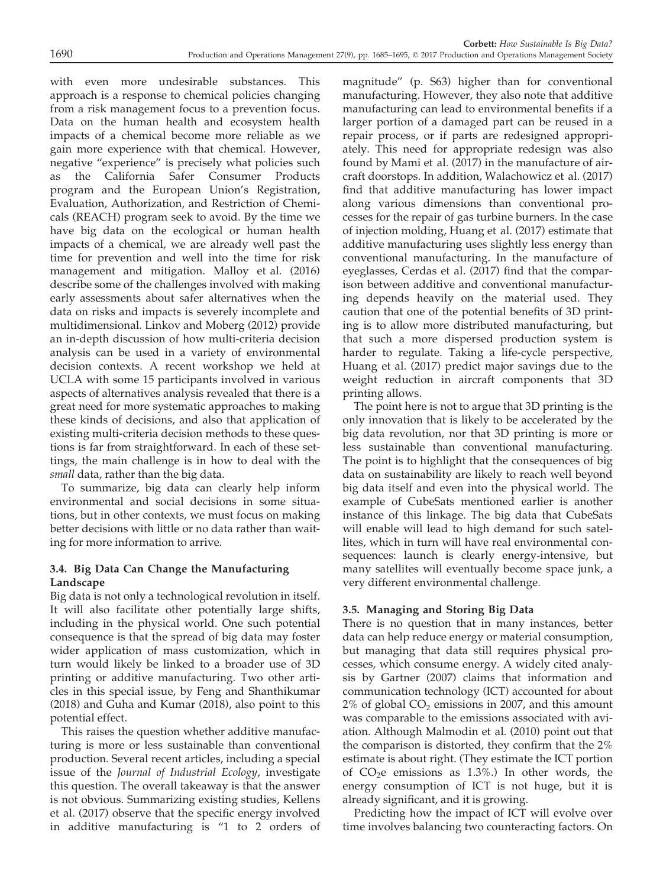with even more undesirable substances. This approach is a response to chemical policies changing from a risk management focus to a prevention focus. Data on the human health and ecosystem health impacts of a chemical become more reliable as we gain more experience with that chemical. However, negative "experience" is precisely what policies such as the California Safer Consumer Products program and the European Union's Registration, Evaluation, Authorization, and Restriction of Chemicals (REACH) program seek to avoid. By the time we have big data on the ecological or human health impacts of a chemical, we are already well past the time for prevention and well into the time for risk management and mitigation. Malloy et al. (2016) describe some of the challenges involved with making early assessments about safer alternatives when the data on risks and impacts is severely incomplete and multidimensional. Linkov and Moberg (2012) provide an in-depth discussion of how multi-criteria decision analysis can be used in a variety of environmental decision contexts. A recent workshop we held at UCLA with some 15 participants involved in various aspects of alternatives analysis revealed that there is a great need for more systematic approaches to making these kinds of decisions, and also that application of existing multi-criteria decision methods to these questions is far from straightforward. In each of these settings, the main challenge is in how to deal with the small data, rather than the big data.

To summarize, big data can clearly help inform environmental and social decisions in some situations, but in other contexts, we must focus on making better decisions with little or no data rather than waiting for more information to arrive.

#### 3.4. Big Data Can Change the Manufacturing Landscape

Big data is not only a technological revolution in itself. It will also facilitate other potentially large shifts, including in the physical world. One such potential consequence is that the spread of big data may foster wider application of mass customization, which in turn would likely be linked to a broader use of 3D printing or additive manufacturing. Two other articles in this special issue, by Feng and Shanthikumar (2018) and Guha and Kumar (2018), also point to this potential effect.

This raises the question whether additive manufacturing is more or less sustainable than conventional production. Several recent articles, including a special issue of the Journal of Industrial Ecology, investigate this question. The overall takeaway is that the answer is not obvious. Summarizing existing studies, Kellens et al. (2017) observe that the specific energy involved in additive manufacturing is "1 to 2 orders of magnitude" (p. S63) higher than for conventional manufacturing. However, they also note that additive manufacturing can lead to environmental benefits if a larger portion of a damaged part can be reused in a repair process, or if parts are redesigned appropriately. This need for appropriate redesign was also found by Mami et al. (2017) in the manufacture of aircraft doorstops. In addition, Walachowicz et al. (2017) find that additive manufacturing has lower impact along various dimensions than conventional processes for the repair of gas turbine burners. In the case of injection molding, Huang et al. (2017) estimate that additive manufacturing uses slightly less energy than conventional manufacturing. In the manufacture of eyeglasses, Cerdas et al. (2017) find that the comparison between additive and conventional manufacturing depends heavily on the material used. They caution that one of the potential benefits of 3D printing is to allow more distributed manufacturing, but that such a more dispersed production system is harder to regulate. Taking a life-cycle perspective, Huang et al. (2017) predict major savings due to the weight reduction in aircraft components that 3D printing allows.

The point here is not to argue that 3D printing is the only innovation that is likely to be accelerated by the big data revolution, nor that 3D printing is more or less sustainable than conventional manufacturing. The point is to highlight that the consequences of big data on sustainability are likely to reach well beyond big data itself and even into the physical world. The example of CubeSats mentioned earlier is another instance of this linkage. The big data that CubeSats will enable will lead to high demand for such satellites, which in turn will have real environmental consequences: launch is clearly energy-intensive, but many satellites will eventually become space junk, a very different environmental challenge.

#### 3.5. Managing and Storing Big Data

There is no question that in many instances, better data can help reduce energy or material consumption, but managing that data still requires physical processes, which consume energy. A widely cited analysis by Gartner (2007) claims that information and communication technology (ICT) accounted for about  $2\%$  of global  $CO<sub>2</sub>$  emissions in 2007, and this amount was comparable to the emissions associated with aviation. Although Malmodin et al. (2010) point out that the comparison is distorted, they confirm that the 2% estimate is about right. (They estimate the ICT portion of  $CO<sub>2</sub>e$  emissions as 1.3%.) In other words, the energy consumption of ICT is not huge, but it is already significant, and it is growing.

Predicting how the impact of ICT will evolve over time involves balancing two counteracting factors. On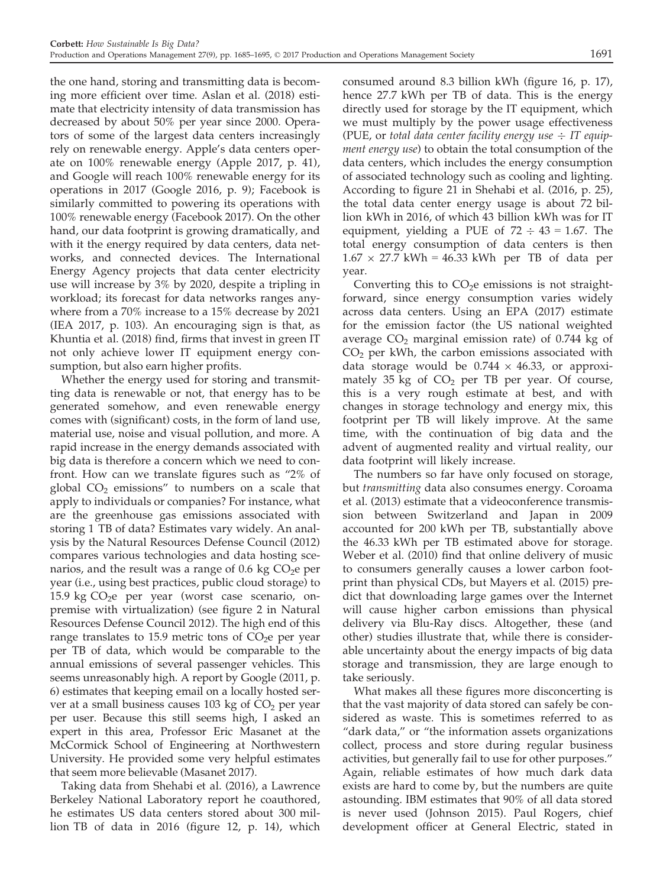the one hand, storing and transmitting data is becoming more efficient over time. Aslan et al. (2018) estimate that electricity intensity of data transmission has decreased by about 50% per year since 2000. Operators of some of the largest data centers increasingly rely on renewable energy. Apple's data centers operate on 100% renewable energy (Apple 2017, p. 41), and Google will reach 100% renewable energy for its operations in 2017 (Google 2016, p. 9); Facebook is similarly committed to powering its operations with 100% renewable energy (Facebook 2017). On the other hand, our data footprint is growing dramatically, and with it the energy required by data centers, data networks, and connected devices. The International Energy Agency projects that data center electricity use will increase by 3% by 2020, despite a tripling in workload; its forecast for data networks ranges anywhere from a 70% increase to a 15% decrease by 2021 (IEA 2017, p. 103). An encouraging sign is that, as Khuntia et al. (2018) find, firms that invest in green IT not only achieve lower IT equipment energy consumption, but also earn higher profits.

Whether the energy used for storing and transmitting data is renewable or not, that energy has to be generated somehow, and even renewable energy comes with (significant) costs, in the form of land use, material use, noise and visual pollution, and more. A rapid increase in the energy demands associated with big data is therefore a concern which we need to confront. How can we translate figures such as "2% of global  $CO<sub>2</sub>$  emissions" to numbers on a scale that apply to individuals or companies? For instance, what are the greenhouse gas emissions associated with storing 1 TB of data? Estimates vary widely. An analysis by the Natural Resources Defense Council (2012) compares various technologies and data hosting scenarios, and the result was a range of 0.6 kg  $CO<sub>2</sub>e$  per year (i.e., using best practices, public cloud storage) to 15.9 kg  $CO<sub>2</sub>e$  per year (worst case scenario, onpremise with virtualization) (see figure 2 in Natural Resources Defense Council 2012). The high end of this range translates to 15.9 metric tons of  $CO<sub>2</sub>e$  per year per TB of data, which would be comparable to the annual emissions of several passenger vehicles. This seems unreasonably high. A report by Google (2011, p. 6) estimates that keeping email on a locally hosted server at a small business causes 103 kg of  $CO<sub>2</sub>$  per year per user. Because this still seems high, I asked an expert in this area, Professor Eric Masanet at the McCormick School of Engineering at Northwestern University. He provided some very helpful estimates that seem more believable (Masanet 2017).

Taking data from Shehabi et al. (2016), a Lawrence Berkeley National Laboratory report he coauthored, he estimates US data centers stored about 300 million TB of data in 2016 (figure 12, p. 14), which

consumed around 8.3 billion kWh (figure 16, p. 17), hence 27.7 kWh per TB of data. This is the energy directly used for storage by the IT equipment, which we must multiply by the power usage effectiveness (PUE, or total data center facility energy use  $\div$  IT equipment energy use) to obtain the total consumption of the data centers, which includes the energy consumption of associated technology such as cooling and lighting. According to figure 21 in Shehabi et al. (2016, p. 25), the total data center energy usage is about 72 billion kWh in 2016, of which 43 billion kWh was for IT equipment, yielding a PUE of  $72 \div 43 = 1.67$ . The total energy consumption of data centers is then  $1.67 \times 27.7$  kWh = 46.33 kWh per TB of data per year.

Converting this to  $CO<sub>2</sub>e$  emissions is not straightforward, since energy consumption varies widely across data centers. Using an EPA (2017) estimate for the emission factor (the US national weighted average  $CO<sub>2</sub>$  marginal emission rate) of 0.744 kg of  $CO<sub>2</sub>$  per kWh, the carbon emissions associated with data storage would be  $0.744 \times 46.33$ , or approximately 35 kg of  $CO<sub>2</sub>$  per TB per year. Of course, this is a very rough estimate at best, and with changes in storage technology and energy mix, this footprint per TB will likely improve. At the same time, with the continuation of big data and the advent of augmented reality and virtual reality, our data footprint will likely increase.

The numbers so far have only focused on storage, but transmitting data also consumes energy. Coroama et al. (2013) estimate that a videoconference transmission between Switzerland and Japan in 2009 accounted for 200 kWh per TB, substantially above the 46.33 kWh per TB estimated above for storage. Weber et al. (2010) find that online delivery of music to consumers generally causes a lower carbon footprint than physical CDs, but Mayers et al. (2015) predict that downloading large games over the Internet will cause higher carbon emissions than physical delivery via Blu-Ray discs. Altogether, these (and other) studies illustrate that, while there is considerable uncertainty about the energy impacts of big data storage and transmission, they are large enough to take seriously.

What makes all these figures more disconcerting is that the vast majority of data stored can safely be considered as waste. This is sometimes referred to as "dark data," or "the information assets organizations collect, process and store during regular business activities, but generally fail to use for other purposes." Again, reliable estimates of how much dark data exists are hard to come by, but the numbers are quite astounding. IBM estimates that 90% of all data stored is never used (Johnson 2015). Paul Rogers, chief development officer at General Electric, stated in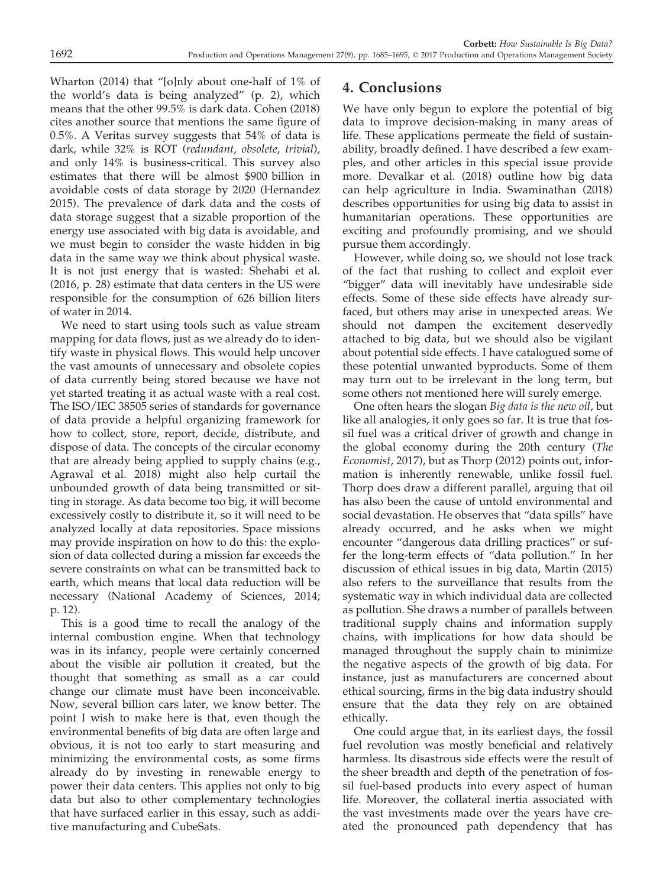Wharton (2014) that "[o]nly about one-half of 1% of the world's data is being analyzed" (p. 2), which means that the other 99.5% is dark data. Cohen (2018) cites another source that mentions the same figure of 0.5%. A Veritas survey suggests that 54% of data is dark, while 32% is ROT (redundant, obsolete, trivial), and only 14% is business-critical. This survey also estimates that there will be almost \$900 billion in avoidable costs of data storage by 2020 (Hernandez 2015). The prevalence of dark data and the costs of data storage suggest that a sizable proportion of the energy use associated with big data is avoidable, and we must begin to consider the waste hidden in big data in the same way we think about physical waste. It is not just energy that is wasted: Shehabi et al. (2016, p. 28) estimate that data centers in the US were responsible for the consumption of 626 billion liters of water in 2014.

We need to start using tools such as value stream mapping for data flows, just as we already do to identify waste in physical flows. This would help uncover the vast amounts of unnecessary and obsolete copies of data currently being stored because we have not yet started treating it as actual waste with a real cost. The ISO/IEC 38505 series of standards for governance of data provide a helpful organizing framework for how to collect, store, report, decide, distribute, and dispose of data. The concepts of the circular economy that are already being applied to supply chains (e.g., Agrawal et al. 2018) might also help curtail the unbounded growth of data being transmitted or sitting in storage. As data become too big, it will become excessively costly to distribute it, so it will need to be analyzed locally at data repositories. Space missions may provide inspiration on how to do this: the explosion of data collected during a mission far exceeds the severe constraints on what can be transmitted back to earth, which means that local data reduction will be necessary (National Academy of Sciences, 2014; p. 12).

This is a good time to recall the analogy of the internal combustion engine. When that technology was in its infancy, people were certainly concerned about the visible air pollution it created, but the thought that something as small as a car could change our climate must have been inconceivable. Now, several billion cars later, we know better. The point I wish to make here is that, even though the environmental benefits of big data are often large and obvious, it is not too early to start measuring and minimizing the environmental costs, as some firms already do by investing in renewable energy to power their data centers. This applies not only to big data but also to other complementary technologies that have surfaced earlier in this essay, such as additive manufacturing and CubeSats.

## 4. Conclusions

We have only begun to explore the potential of big data to improve decision-making in many areas of life. These applications permeate the field of sustainability, broadly defined. I have described a few examples, and other articles in this special issue provide more. Devalkar et al. (2018) outline how big data can help agriculture in India. Swaminathan (2018) describes opportunities for using big data to assist in humanitarian operations. These opportunities are exciting and profoundly promising, and we should pursue them accordingly.

However, while doing so, we should not lose track of the fact that rushing to collect and exploit ever "bigger" data will inevitably have undesirable side effects. Some of these side effects have already surfaced, but others may arise in unexpected areas. We should not dampen the excitement deservedly attached to big data, but we should also be vigilant about potential side effects. I have catalogued some of these potential unwanted byproducts. Some of them may turn out to be irrelevant in the long term, but some others not mentioned here will surely emerge.

One often hears the slogan Big data is the new oil, but like all analogies, it only goes so far. It is true that fossil fuel was a critical driver of growth and change in the global economy during the 20th century (The Economist, 2017), but as Thorp (2012) points out, information is inherently renewable, unlike fossil fuel. Thorp does draw a different parallel, arguing that oil has also been the cause of untold environmental and social devastation. He observes that "data spills" have already occurred, and he asks when we might encounter "dangerous data drilling practices" or suffer the long-term effects of "data pollution." In her discussion of ethical issues in big data, Martin (2015) also refers to the surveillance that results from the systematic way in which individual data are collected as pollution. She draws a number of parallels between traditional supply chains and information supply chains, with implications for how data should be managed throughout the supply chain to minimize the negative aspects of the growth of big data. For instance, just as manufacturers are concerned about ethical sourcing, firms in the big data industry should ensure that the data they rely on are obtained ethically.

One could argue that, in its earliest days, the fossil fuel revolution was mostly beneficial and relatively harmless. Its disastrous side effects were the result of the sheer breadth and depth of the penetration of fossil fuel-based products into every aspect of human life. Moreover, the collateral inertia associated with the vast investments made over the years have created the pronounced path dependency that has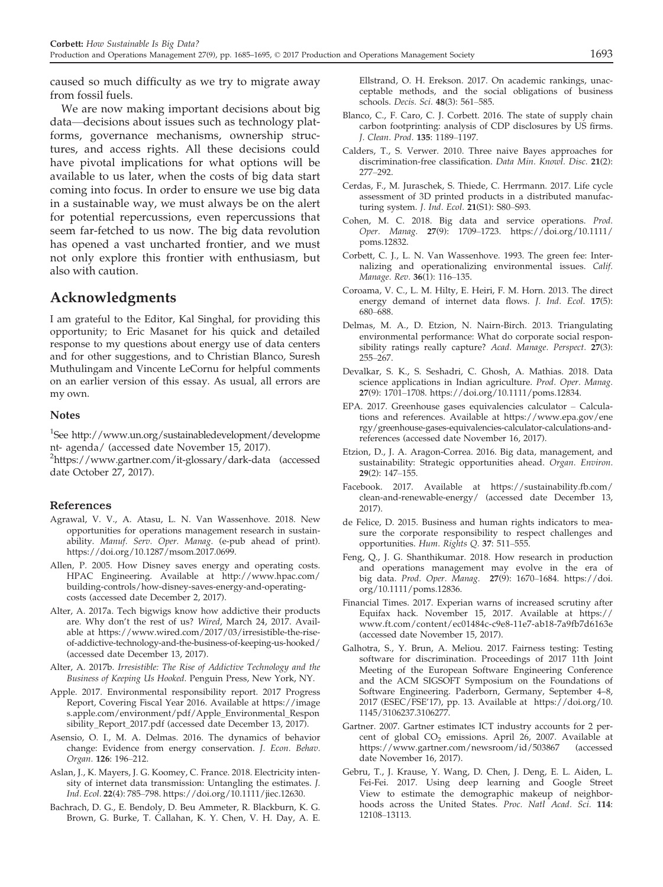caused so much difficulty as we try to migrate away from fossil fuels.

We are now making important decisions about big data—decisions about issues such as technology platforms, governance mechanisms, ownership structures, and access rights. All these decisions could have pivotal implications for what options will be available to us later, when the costs of big data start coming into focus. In order to ensure we use big data in a sustainable way, we must always be on the alert for potential repercussions, even repercussions that seem far-fetched to us now. The big data revolution has opened a vast uncharted frontier, and we must not only explore this frontier with enthusiasm, but also with caution.

#### Acknowledgments

I am grateful to the Editor, Kal Singhal, for providing this opportunity; to Eric Masanet for his quick and detailed response to my questions about energy use of data centers and for other suggestions, and to Christian Blanco, Suresh Muthulingam and Vincente LeCornu for helpful comments on an earlier version of this essay. As usual, all errors are my own.

#### Notes

1 See [http://www.un.org/sustainabledevelopment/developme](http://www.un.org/sustainabledevelopment/development-agenda/) [nt- agenda/](http://www.un.org/sustainabledevelopment/development-agenda/) (accessed date November 15, 2017). <sup>2</sup><https://www.gartner.com/it-glossary/dark-data> (accessed date October 27, 2017).

#### References

- Agrawal, V. V., A. Atasu, L. N. Van Wassenhove. 2018. New opportunities for operations management research in sustainability. Manuf. Serv. Oper. Manag. (e-pub ahead of print). [https://doi.org/10.1287/msom.2017.0699.](https://doi.org/10.1287/msom.2017.0699)
- Allen, P. 2005. How Disney saves energy and operating costs. HPAC Engineering. Available at [http://www.hpac.com/](http://www.hpac.com/building-controls/how-disney-saves-energy-and-operating-costs) [building-controls/how-disney-saves-energy-and-operating](http://www.hpac.com/building-controls/how-disney-saves-energy-and-operating-costs)[costs](http://www.hpac.com/building-controls/how-disney-saves-energy-and-operating-costs) (accessed date December 2, 2017).
- Alter, A. 2017a. Tech bigwigs know how addictive their products are. Why don't the rest of us? Wired, March 24, 2017. Available at [https://www.wired.com/2017/03/irresistible-the-rise](https://www.wired.com/2017/03/irresistible-the-rise-of-addictive-technology-and-the-business-of-keeping-us-hooked/)[of-addictive-technology-and-the-business-of-keeping-us-hooked/](https://www.wired.com/2017/03/irresistible-the-rise-of-addictive-technology-and-the-business-of-keeping-us-hooked/) (accessed date December 13, 2017).
- Alter, A. 2017b. Irresistible: The Rise of Addictive Technology and the Business of Keeping Us Hooked. Penguin Press, New York, NY.
- Apple. 2017. Environmental responsibility report. 2017 Progress Report, Covering Fiscal Year 2016. Available at [https://image](https://images.apple.com/environment/pdf/Apple_Environmental_Responsibility_Report_2017.pdf) [s.apple.com/environment/pdf/Apple\\_Environmental\\_Respon](https://images.apple.com/environment/pdf/Apple_Environmental_Responsibility_Report_2017.pdf) [sibility\\_Report\\_2017.pdf](https://images.apple.com/environment/pdf/Apple_Environmental_Responsibility_Report_2017.pdf) (accessed date December 13, 2017).
- Asensio, O. I., M. A. Delmas. 2016. The dynamics of behavior change: Evidence from energy conservation. J. Econ. Behav. Organ. 126: 196–212.
- Aslan, J., K. Mayers, J. G. Koomey, C. France. 2018. Electricity intensity of internet data transmission: Untangling the estimates. J. Ind. Ecol. 22(4): 785–798. [https://doi.org/10.1111/jiec.12630.](https://doi.org/10.1111/jiec.12630)
- Bachrach, D. G., E. Bendoly, D. Beu Ammeter, R. Blackburn, K. G. Brown, G. Burke, T. Callahan, K. Y. Chen, V. H. Day, A. E.

Ellstrand, O. H. Erekson. 2017. On academic rankings, unacceptable methods, and the social obligations of business schools. Decis. Sci. 48(3): 561–585.

- Blanco, C., F. Caro, C. J. Corbett. 2016. The state of supply chain carbon footprinting: analysis of CDP disclosures by US firms. J. Clean. Prod. 135: 1189–1197.
- Calders, T., S. Verwer. 2010. Three naive Bayes approaches for discrimination-free classification. Data Min. Knowl. Disc. 21(2): 277–292.
- Cerdas, F., M. Juraschek, S. Thiede, C. Herrmann. 2017. Life cycle assessment of 3D printed products in a distributed manufacturing system. J. Ind. Ecol. 21(S1): S80-S93.
- Cohen, M. C. 2018. Big data and service operations. Prod. Oper. Manag. 27(9): 1709–1723. [https://doi.org/10.1111/](https://doi.org/10.1111/poms.12832) [poms.12832.](https://doi.org/10.1111/poms.12832)
- Corbett, C. J., L. N. Van Wassenhove. 1993. The green fee: Internalizing and operationalizing environmental issues. Calif. Manage. Rev. 36(1): 116–135.
- Coroama, V. C., L. M. Hilty, E. Heiri, F. M. Horn. 2013. The direct energy demand of internet data flows. J. Ind. Ecol. 17(5): 680–688.
- Delmas, M. A., D. Etzion, N. Nairn-Birch. 2013. Triangulating environmental performance: What do corporate social responsibility ratings really capture? Acad. Manage. Perspect. 27(3): 255–267.
- Devalkar, S. K., S. Seshadri, C. Ghosh, A. Mathias. 2018. Data science applications in Indian agriculture. Prod. Oper. Manag. 27(9): 1701–1708.<https://doi.org/10.1111/poms.12834>.
- EPA. 2017. Greenhouse gases equivalencies calculator Calculations and references. Available at [https://www.epa.gov/ene](https://www.epa.gov/energy/greenhouse-gases-equivalencies-calculator-calculations-and-references) [rgy/greenhouse-gases-equivalencies-calculator-calculations-and](https://www.epa.gov/energy/greenhouse-gases-equivalencies-calculator-calculations-and-references)[references](https://www.epa.gov/energy/greenhouse-gases-equivalencies-calculator-calculations-and-references) (accessed date November 16, 2017).
- Etzion, D., J. A. Aragon-Correa. 2016. Big data, management, and sustainability: Strategic opportunities ahead. Organ. Environ. 29(2): 147–155.
- Facebook. 2017. Available at [https://sustainability.fb.com/](https://sustainability.fb.com/clean-and-renewable-energy/) [clean-and-renewable-energy/](https://sustainability.fb.com/clean-and-renewable-energy/) (accessed date December 13, 2017).
- de Felice, D. 2015. Business and human rights indicators to measure the corporate responsibility to respect challenges and opportunities. Hum. Rights Q. 37: 511–555.
- Feng, Q., J. G. Shanthikumar. 2018. How research in production and operations management may evolve in the era of big data. Prod. Oper. Manag. 27(9): 1670–1684. [https://doi.](https://doi.org/10.1111/poms.12836) [org/10.1111/poms.12836.](https://doi.org/10.1111/poms.12836)
- Financial Times. 2017. Experian warns of increased scrutiny after Equifax hack. November 15, 2017. Available at [https://](https://www.ft.com/content/ec01484c-c9e8-11e7-ab18-7a9fb7d6163e) [www.ft.com/content/ec01484c-c9e8-11e7-ab18-7a9fb7d6163e](https://www.ft.com/content/ec01484c-c9e8-11e7-ab18-7a9fb7d6163e) (accessed date November 15, 2017).
- Galhotra, S., Y. Brun, A. Meliou. 2017. Fairness testing: Testing software for discrimination. Proceedings of 2017 11th Joint Meeting of the European Software Engineering Conference and the ACM SIGSOFT Symposium on the Foundations of Software Engineering. Paderborn, Germany, September 4–8, 2017 (ESEC/FSE'17), pp. 13. Available at [https://doi.org/10.](https://doi.org/10.1145/3106237.3106277) [1145/3106237.3106277](https://doi.org/10.1145/3106237.3106277).
- Gartner. 2007. Gartner estimates ICT industry accounts for 2 percent of global  $CO_2$  emissions. April 26, 2007. Available at https://www.gartner.com/newsroom/id/503867 (accessed <https://www.gartner.com/newsroom/id/503867> date November 16, 2017).
- Gebru, T., J. Krause, Y. Wang, D. Chen, J. Deng, E. L. Aiden, L. Fei-Fei. 2017. Using deep learning and Google Street View to estimate the demographic makeup of neighborhoods across the United States. Proc. Natl Acad. Sci. 114: 12108–13113.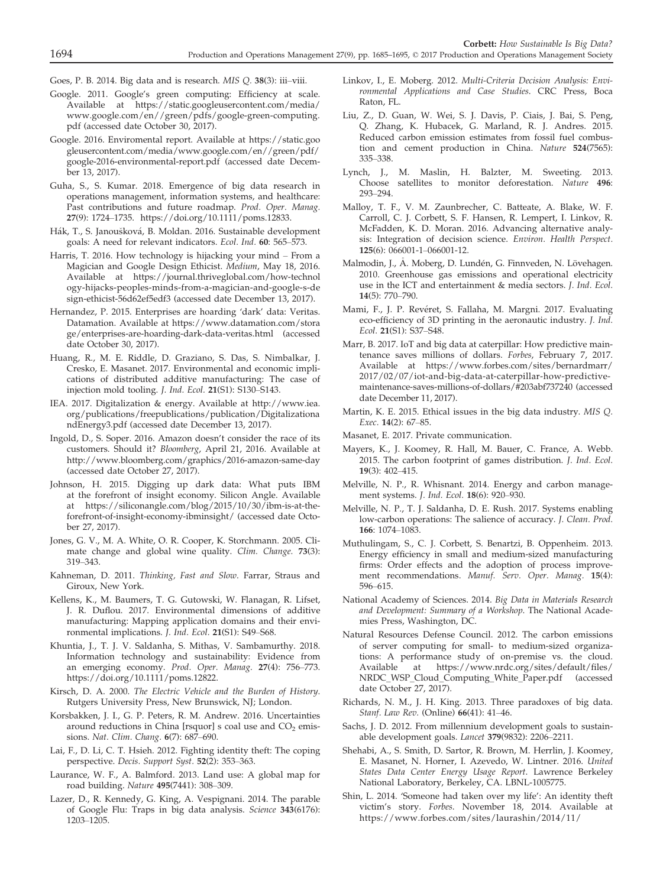Goes, P. B. 2014. Big data and is research. MIS Q. 38(3): iii–viii.

- Google. 2011. Google's green computing: Efficiency at scale. Available at [https://static.googleusercontent.com/media/](https://static.googleusercontent.com/media/www.google.com/en//green/pdfs/google-green-computing.pdf) [www.google.com/en//green/pdfs/google-green-computing.](https://static.googleusercontent.com/media/www.google.com/en//green/pdfs/google-green-computing.pdf) [pdf](https://static.googleusercontent.com/media/www.google.com/en//green/pdfs/google-green-computing.pdf) (accessed date October 30, 2017).
- Google. 2016. Enviromental report. Available at [https://static.goo](https://static.googleusercontent.com/media/www.google.com/en//green/pdf/google-2016-environmental-report.pdf) [gleusercontent.com/media/www.google.com/en//green/pdf/](https://static.googleusercontent.com/media/www.google.com/en//green/pdf/google-2016-environmental-report.pdf) [google-2016-environmental-report.pdf](https://static.googleusercontent.com/media/www.google.com/en//green/pdf/google-2016-environmental-report.pdf) (accessed date December 13, 2017).
- Guha, S., S. Kumar. 2018. Emergence of big data research in operations management, information systems, and healthcare: Past contributions and future roadmap. Prod. Oper. Manag. 27(9): 1724–1735. [https://doi.org/10.1111/poms.12833.](https://doi.org/10.1111/poms.12833)
- Hák, T., S. Janoušková, B. Moldan. 2016. Sustainable development goals: A need for relevant indicators. Ecol. Ind. 60: 565–573.
- Harris, T. 2016. How technology is hijacking your mind From a Magician and Google Design Ethicist. Medium, May 18, 2016. Available at [https://journal.thriveglobal.com/how-technol](https://journal.thriveglobal.com/how-technology-hijacks-peoples-minds-from-a-magician-and-google-s-design-ethicist-56d62ef5edf3) [ogy-hijacks-peoples-minds-from-a-magician-and-google-s-de](https://journal.thriveglobal.com/how-technology-hijacks-peoples-minds-from-a-magician-and-google-s-design-ethicist-56d62ef5edf3) [sign-ethicist-56d62ef5edf3](https://journal.thriveglobal.com/how-technology-hijacks-peoples-minds-from-a-magician-and-google-s-design-ethicist-56d62ef5edf3) (accessed date December 13, 2017).
- Hernandez, P. 2015. Enterprises are hoarding 'dark' data: Veritas. Datamation. Available at [https://www.datamation.com/stora](https://www.datamation.com/storage/enterprises-are-hoarding-dark-data-veritas.html) [ge/enterprises-are-hoarding-dark-data-veritas.html](https://www.datamation.com/storage/enterprises-are-hoarding-dark-data-veritas.html) (accessed date October 30, 2017).
- Huang, R., M. E. Riddle, D. Graziano, S. Das, S. Nimbalkar, J. Cresko, E. Masanet. 2017. Environmental and economic implications of distributed additive manufacturing: The case of injection mold tooling. J. Ind. Ecol. 21(S1): S130–S143.
- IEA. 2017. Digitalization & energy. Available at [http://www.iea.](http://www.iea.org/publications/freepublications/publication/DigitalizationandEnergy3.pdf) [org/publications/freepublications/publication/Digitalizationa](http://www.iea.org/publications/freepublications/publication/DigitalizationandEnergy3.pdf) [ndEnergy3.pdf](http://www.iea.org/publications/freepublications/publication/DigitalizationandEnergy3.pdf) (accessed date December 13, 2017).
- Ingold, D., S. Soper. 2016. Amazon doesn't consider the race of its customers. Should it? Bloomberg, April 21, 2016. Available at <http://www.bloomberg.com/graphics/2016-amazon-same-day> (accessed date October 27, 2017).
- Johnson, H. 2015. Digging up dark data: What puts IBM at the forefront of insight economy. Silicon Angle. Available at [https://siliconangle.com/blog/2015/10/30/ibm-is-at-the](https://siliconangle.com/blog/2015/10/30/ibm-is-at-the-forefront-of-insight-economy-ibminsight/)[forefront-of-insight-economy-ibminsight/](https://siliconangle.com/blog/2015/10/30/ibm-is-at-the-forefront-of-insight-economy-ibminsight/) (accessed date October 27, 2017).
- Jones, G. V., M. A. White, O. R. Cooper, K. Storchmann. 2005. Climate change and global wine quality. Clim. Change. 73(3): 319–343.
- Kahneman, D. 2011. Thinking, Fast and Slow. Farrar, Straus and Giroux, New York.
- Kellens, K., M. Baumers, T. G. Gutowski, W. Flanagan, R. Lifset, J. R. Duflou. 2017. Environmental dimensions of additive manufacturing: Mapping application domains and their environmental implications. J. Ind. Ecol. 21(S1): S49–S68.
- Khuntia, J., T. J. V. Saldanha, S. Mithas, V. Sambamurthy. 2018. Information technology and sustainability: Evidence from an emerging economy. Prod. Oper. Manag. 27(4): 756–773. [https://doi.org/10.1111/poms.12822.](https://doi.org/10.1111/poms.12822)
- Kirsch, D. A. 2000. The Electric Vehicle and the Burden of History. Rutgers University Press, New Brunswick, NJ; London.
- Korsbakken, J. I., G. P. Peters, R. M. Andrew. 2016. Uncertainties around reductions in China [rsquor] s coal use and  $CO<sub>2</sub>$  emissions. Nat. Clim. Chang. 6(7): 687–690.
- Lai, F., D. Li, C. T. Hsieh. 2012. Fighting identity theft: The coping perspective. Decis. Support Syst. 52(2): 353–363.
- Laurance, W. F., A. Balmford. 2013. Land use: A global map for road building. Nature 495(7441): 308–309.
- Lazer, D., R. Kennedy, G. King, A. Vespignani. 2014. The parable of Google Flu: Traps in big data analysis. Science 343(6176): 1203–1205.
- Linkov, I., E. Moberg. 2012. Multi-Criteria Decision Analysis: Environmental Applications and Case Studies. CRC Press, Boca Raton, FL.
- Liu, Z., D. Guan, W. Wei, S. J. Davis, P. Ciais, J. Bai, S. Peng, Q. Zhang, K. Hubacek, G. Marland, R. J. Andres. 2015. Reduced carbon emission estimates from fossil fuel combustion and cement production in China. Nature 524(7565): 335–338.
- Lynch, J., M. Maslin, H. Balzter, M. Sweeting. 2013. Choose satellites to monitor deforestation. Nature 496: 293–294.
- Malloy, T. F., V. M. Zaunbrecher, C. Batteate, A. Blake, W. F. Carroll, C. J. Corbett, S. F. Hansen, R. Lempert, I. Linkov, R. McFadden, K. D. Moran. 2016. Advancing alternative analysis: Integration of decision science. Environ. Health Perspect. 125(6): 066001-1–066001-12.
- Malmodin, J., A. Moberg, D. Lundén, G. Finnveden, N. Lövehagen. 2010. Greenhouse gas emissions and operational electricity use in the ICT and entertainment & media sectors. J. Ind. Ecol. 14(5): 770–790.
- Mami, F., J. P. Revéret, S. Fallaha, M. Margni. 2017. Evaluating eco-efficiency of 3D printing in the aeronautic industry. J. Ind. Ecol. 21(S1): S37–S48.
- Marr, B. 2017. IoT and big data at caterpillar: How predictive maintenance saves millions of dollars. Forbes, February 7, 2017. Available at [https://www.forbes.com/sites/bernardmarr/](https://www.forbes.com/sites/bernardmarr/2017/02/07/iot-and-big-data-at-caterpillar-how-predictive-maintenance-saves-millions-of-dollars/#203abf737240) [2017/02/07/iot-and-big-data-at-caterpillar-how-predictive](https://www.forbes.com/sites/bernardmarr/2017/02/07/iot-and-big-data-at-caterpillar-how-predictive-maintenance-saves-millions-of-dollars/#203abf737240)[maintenance-saves-millions-of-dollars/#203abf737240](https://www.forbes.com/sites/bernardmarr/2017/02/07/iot-and-big-data-at-caterpillar-how-predictive-maintenance-saves-millions-of-dollars/#203abf737240) (accessed date December 11, 2017).
- Martin, K. E. 2015. Ethical issues in the big data industry. MIS Q. Exec. 14(2): 67–85.
- Masanet, E. 2017. Private communication.
- Mayers, K., J. Koomey, R. Hall, M. Bauer, C. France, A. Webb. 2015. The carbon footprint of games distribution. J. Ind. Ecol. 19(3): 402–415.
- Melville, N. P., R. Whisnant. 2014. Energy and carbon management systems. J. Ind. Ecol. 18(6): 920–930.
- Melville, N. P., T. J. Saldanha, D. E. Rush. 2017. Systems enabling low-carbon operations: The salience of accuracy. J. Clean. Prod. 166: 1074–1083.
- Muthulingam, S., C. J. Corbett, S. Benartzi, B. Oppenheim. 2013. Energy efficiency in small and medium-sized manufacturing firms: Order effects and the adoption of process improvement recommendations. Manuf. Serv. Oper. Manag. 15(4): 596–615.
- National Academy of Sciences. 2014. Big Data in Materials Research and Development: Summary of a Workshop. The National Academies Press, Washington, DC.
- Natural Resources Defense Council. 2012. The carbon emissions of server computing for small- to medium-sized organizations: A performance study of on-premise vs. the cloud. Available at [https://www.nrdc.org/sites/default/files/](https://www.nrdc.org/sites/default/files/NRDC_WSP_Cloud_Computing_White_Paper.pdf) [NRDC\\_WSP\\_Cloud\\_Computing\\_White\\_Paper.pdf](https://www.nrdc.org/sites/default/files/NRDC_WSP_Cloud_Computing_White_Paper.pdf) (accessed date October 27, 2017).
- Richards, N. M., J. H. King. 2013. Three paradoxes of big data. Stanf. Law Rev. (Online) 66(41): 41–46.
- Sachs, J. D. 2012. From millennium development goals to sustainable development goals. Lancet 379(9832): 2206–2211.
- Shehabi, A., S. Smith, D. Sartor, R. Brown, M. Herrlin, J. Koomey, E. Masanet, N. Horner, I. Azevedo, W. Lintner. 2016. United States Data Center Energy Usage Report. Lawrence Berkeley National Laboratory, Berkeley, CA. LBNL-1005775.
- Shin, L. 2014. 'Someone had taken over my life': An identity theft victim's story. Forbes. November 18, 2014. Available at [https://www.forbes.com/sites/laurashin/2014/11/](https://www.forbes.com/sites/laurashin/2014/11/18/someone-had-taken-over-my-life-an-identity-theft-victims-story/#3e6b4a3f25be)